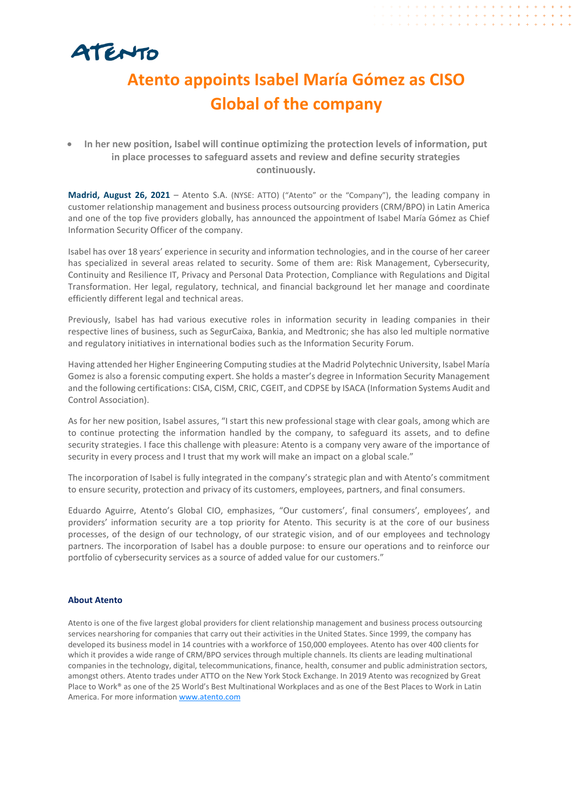

## **Atento appoints Isabel María Gómez as CISO Global of the company**

## • **In her new position, Isabel will continue optimizing the protection levels of information, put in place processes to safeguard assets and review and define security strategies continuously.**

**Madrid, August 26, 2021** – Atento S.A. (NYSE: ATTO) ("Atento" or the "Company"), the leading company in customer relationship management and business process outsourcing providers (CRM/BPO) in Latin America and one of the top five providers globally, has announced the appointment of Isabel María Gómez as Chief Information Security Officer of the company.

Isabel has over 18 years' experience in security and information technologies, and in the course of her career has specialized in several areas related to security. Some of them are: Risk Management, Cybersecurity, Continuity and Resilience IT, Privacy and Personal Data Protection, Compliance with Regulations and Digital Transformation. Her legal, regulatory, technical, and financial background let her manage and coordinate efficiently different legal and technical areas.

Previously, Isabel has had various executive roles in information security in leading companies in their respective lines of business, such as SegurCaixa, Bankia, and Medtronic; she has also led multiple normative and regulatory initiatives in international bodies such as the Information Security Forum.

Having attended her Higher Engineering Computing studies at the Madrid Polytechnic University, Isabel María Gomez is also a forensic computing expert. She holds a master's degree in Information Security Management and the following certifications: CISA, CISM, CRIC, CGEIT, and CDPSE by ISACA (Information Systems Audit and Control Association).

As for her new position, Isabel assures, "I start this new professional stage with clear goals, among which are to continue protecting the information handled by the company, to safeguard its assets, and to define security strategies. I face this challenge with pleasure: Atento is a company very aware of the importance of security in every process and I trust that my work will make an impact on a global scale."

The incorporation of Isabel is fully integrated in the company's strategic plan and with Atento's commitment to ensure security, protection and privacy of its customers, employees, partners, and final consumers.

Eduardo Aguirre, Atento's Global CIO, emphasizes, "Our customers', final consumers', employees', and providers' information security are a top priority for Atento. This security is at the core of our business processes, of the design of our technology, of our strategic vision, and of our employees and technology partners. The incorporation of Isabel has a double purpose: to ensure our operations and to reinforce our portfolio of cybersecurity services as a source of added value for our customers."

## **About Atento**

Atento is one of the five largest global providers for client relationship management and business process outsourcing services nearshoring for companies that carry out their activities in the United States. Since 1999, the company has developed its business model in 14 countries with a workforce of 150,000 employees. Atento has over 400 clients for which it provides a wide range of CRM/BPO services through multiple channels. Its clients are leading multinational companies in the technology, digital, telecommunications, finance, health, consumer and public administration sectors, amongst others. Atento trades under ATTO on the New York Stock Exchange. In 2019 Atento was recognized by Great Place to Work® as one of the 25 World's Best Multinational Workplaces and as one of the Best Places to Work in Latin America. For more information [www.atento.com](https://www.atento.com/)